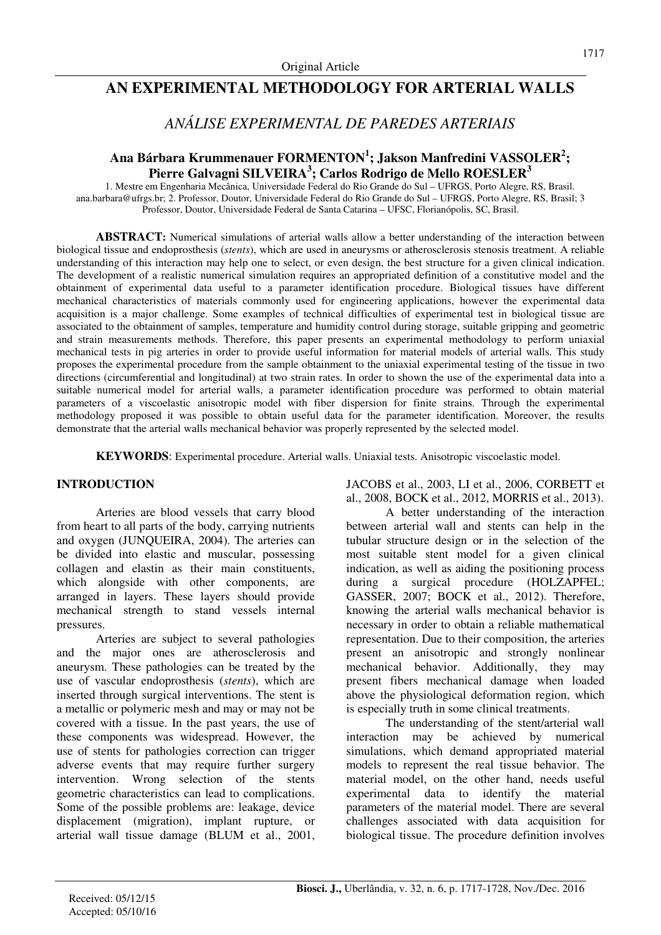# **AN EXPERIMENTAL METHODOLOGY FOR ARTERIAL WALLS**

# *ANÁLISE EXPERIMENTAL DE PAREDES ARTERIAIS*

# **Ana Bárbara Krummenauer FORMENTON<sup>1</sup> ; Jakson Manfredini VASSOLER<sup>2</sup> ; Pierre Galvagni SILVEIRA<sup>3</sup> ; Carlos Rodrigo de Mello ROESLER<sup>3</sup>**

1. Mestre em Engenharia Mecânica, Universidade Federal do Rio Grande do Sul – UFRGS, Porto Alegre, RS, Brasil. ana.barbara@ufrgs.br; 2. Professor, Doutor, Universidade Federal do Rio Grande do Sul – UFRGS, Porto Alegre, RS, Brasil; 3 Professor, Doutor, Universidade Federal de Santa Catarina – UFSC, Florianópolis, SC, Brasil.

**ABSTRACT:** Numerical simulations of arterial walls allow a better understanding of the interaction between biological tissue and endoprosthesis (*stents*), which are used in aneurysms or atherosclerosis stenosis treatment. A reliable understanding of this interaction may help one to select, or even design, the best structure for a given clinical indication. The development of a realistic numerical simulation requires an appropriated definition of a constitutive model and the obtainment of experimental data useful to a parameter identification procedure. Biological tissues have different mechanical characteristics of materials commonly used for engineering applications, however the experimental data acquisition is a major challenge. Some examples of technical difficulties of experimental test in biological tissue are associated to the obtainment of samples, temperature and humidity control during storage, suitable gripping and geometric and strain measurements methods. Therefore, this paper presents an experimental methodology to perform uniaxial mechanical tests in pig arteries in order to provide useful information for material models of arterial walls. This study proposes the experimental procedure from the sample obtainment to the uniaxial experimental testing of the tissue in two directions (circumferential and longitudinal) at two strain rates. In order to shown the use of the experimental data into a suitable numerical model for arterial walls, a parameter identification procedure was performed to obtain material parameters of a viscoelastic anisotropic model with fiber dispersion for finite strains. Through the experimental methodology proposed it was possible to obtain useful data for the parameter identification. Moreover, the results demonstrate that the arterial walls mechanical behavior was properly represented by the selected model.

**KEYWORDS**: Experimental procedure. Arterial walls. Uniaxial tests. Anisotropic viscoelastic model.

# **INTRODUCTION**

Arteries are blood vessels that carry blood from heart to all parts of the body, carrying nutrients and oxygen (JUNQUEIRA, 2004). The arteries can be divided into elastic and muscular, possessing collagen and elastin as their main constituents, which alongside with other components, are arranged in layers. These layers should provide mechanical strength to stand vessels internal pressures.

Arteries are subject to several pathologies and the major ones are atherosclerosis and aneurysm. These pathologies can be treated by the use of vascular endoprosthesis (*stents*), which are inserted through surgical interventions. The stent is a metallic or polymeric mesh and may or may not be covered with a tissue. In the past years, the use of these components was widespread. However, the use of stents for pathologies correction can trigger adverse events that may require further surgery intervention. Wrong selection of the stents geometric characteristics can lead to complications. Some of the possible problems are: leakage, device displacement (migration), implant rupture, or arterial wall tissue damage (BLUM et al., 2001, JACOBS et al., 2003, LI et al., 2006, CORBETT et al., 2008, BOCK et al., 2012, MORRIS et al., 2013).

A better understanding of the interaction between arterial wall and stents can help in the tubular structure design or in the selection of the most suitable stent model for a given clinical indication, as well as aiding the positioning process during a surgical procedure (HOLZAPFEL; GASSER, 2007; BOCK et al., 2012). Therefore, knowing the arterial walls mechanical behavior is necessary in order to obtain a reliable mathematical representation. Due to their composition, the arteries present an anisotropic and strongly nonlinear mechanical behavior. Additionally, they may present fibers mechanical damage when loaded above the physiological deformation region, which is especially truth in some clinical treatments.

The understanding of the stent/arterial wall interaction may be achieved by numerical simulations, which demand appropriated material models to represent the real tissue behavior. The material model, on the other hand, needs useful experimental data to identify the material parameters of the material model. There are several challenges associated with data acquisition for biological tissue. The procedure definition involves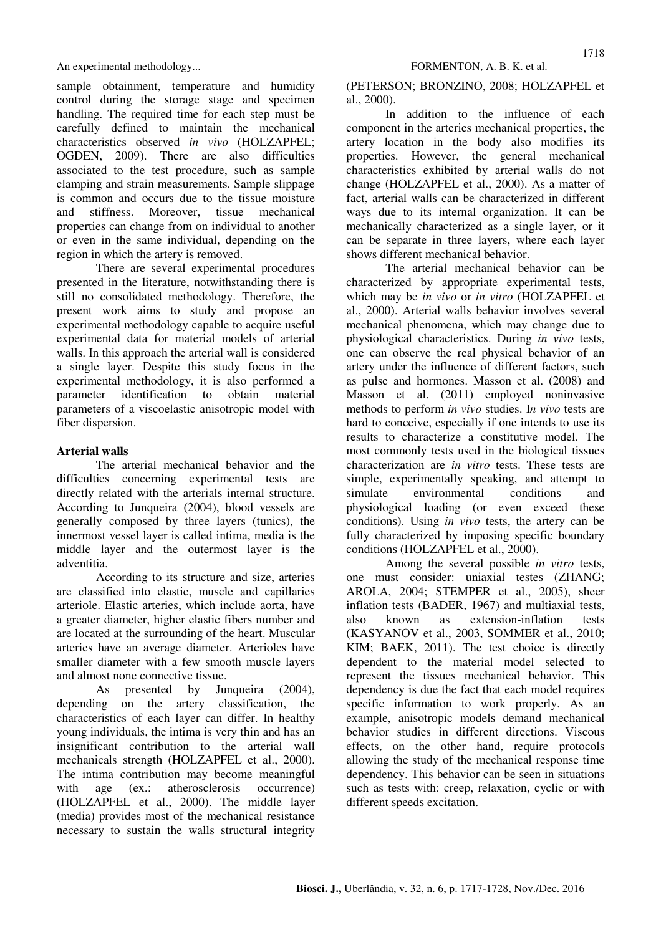sample obtainment, temperature and humidity control during the storage stage and specimen handling. The required time for each step must be carefully defined to maintain the mechanical characteristics observed *in vivo* (HOLZAPFEL; OGDEN, 2009). There are also difficulties associated to the test procedure, such as sample clamping and strain measurements. Sample slippage is common and occurs due to the tissue moisture and stiffness. Moreover, tissue mechanical properties can change from on individual to another or even in the same individual, depending on the region in which the artery is removed.

There are several experimental procedures presented in the literature, notwithstanding there is still no consolidated methodology. Therefore, the present work aims to study and propose an experimental methodology capable to acquire useful experimental data for material models of arterial walls. In this approach the arterial wall is considered a single layer. Despite this study focus in the experimental methodology, it is also performed a parameter identification to obtain material parameters of a viscoelastic anisotropic model with fiber dispersion.

# **Arterial walls**

The arterial mechanical behavior and the difficulties concerning experimental tests are directly related with the arterials internal structure. According to Junqueira (2004), blood vessels are generally composed by three layers (tunics), the innermost vessel layer is called intima, media is the middle layer and the outermost layer is the adventitia.

According to its structure and size, arteries are classified into elastic, muscle and capillaries arteriole. Elastic arteries, which include aorta, have a greater diameter, higher elastic fibers number and are located at the surrounding of the heart. Muscular arteries have an average diameter. Arterioles have smaller diameter with a few smooth muscle layers and almost none connective tissue.

As presented by Junqueira (2004), depending on the artery classification, the characteristics of each layer can differ. In healthy young individuals, the intima is very thin and has an insignificant contribution to the arterial wall mechanicals strength (HOLZAPFEL et al., 2000). The intima contribution may become meaningful with age (ex.: atherosclerosis occurrence) (HOLZAPFEL et al., 2000). The middle layer (media) provides most of the mechanical resistance necessary to sustain the walls structural integrity

(PETERSON; BRONZINO, 2008; HOLZAPFEL et al., 2000).

In addition to the influence of each component in the arteries mechanical properties, the artery location in the body also modifies its properties. However, the general mechanical characteristics exhibited by arterial walls do not change (HOLZAPFEL et al., 2000). As a matter of fact, arterial walls can be characterized in different ways due to its internal organization. It can be mechanically characterized as a single layer, or it can be separate in three layers, where each layer shows different mechanical behavior.

The arterial mechanical behavior can be characterized by appropriate experimental tests, which may be *in vivo* or *in vitro* (HOLZAPFEL et al., 2000). Arterial walls behavior involves several mechanical phenomena, which may change due to physiological characteristics. During *in vivo* tests, one can observe the real physical behavior of an artery under the influence of different factors, such as pulse and hormones. Masson et al. (2008) and Masson et al. (2011) employed noninvasive methods to perform *in vivo* studies. I*n vivo* tests are hard to conceive, especially if one intends to use its results to characterize a constitutive model. The most commonly tests used in the biological tissues characterization are *in vitro* tests. These tests are simple, experimentally speaking, and attempt to simulate environmental conditions and physiological loading (or even exceed these conditions). Using *in vivo* tests, the artery can be fully characterized by imposing specific boundary conditions (HOLZAPFEL et al., 2000).

Among the several possible *in vitro* tests, one must consider: uniaxial testes (ZHANG; AROLA, 2004; STEMPER et al., 2005), sheer inflation tests (BADER, 1967) and multiaxial tests, also known as extension-inflation tests (KASYANOV et al., 2003, SOMMER et al., 2010; KIM; BAEK, 2011). The test choice is directly dependent to the material model selected to represent the tissues mechanical behavior. This dependency is due the fact that each model requires specific information to work properly. As an example, anisotropic models demand mechanical behavior studies in different directions. Viscous effects, on the other hand, require protocols allowing the study of the mechanical response time dependency. This behavior can be seen in situations such as tests with: creep, relaxation, cyclic or with different speeds excitation.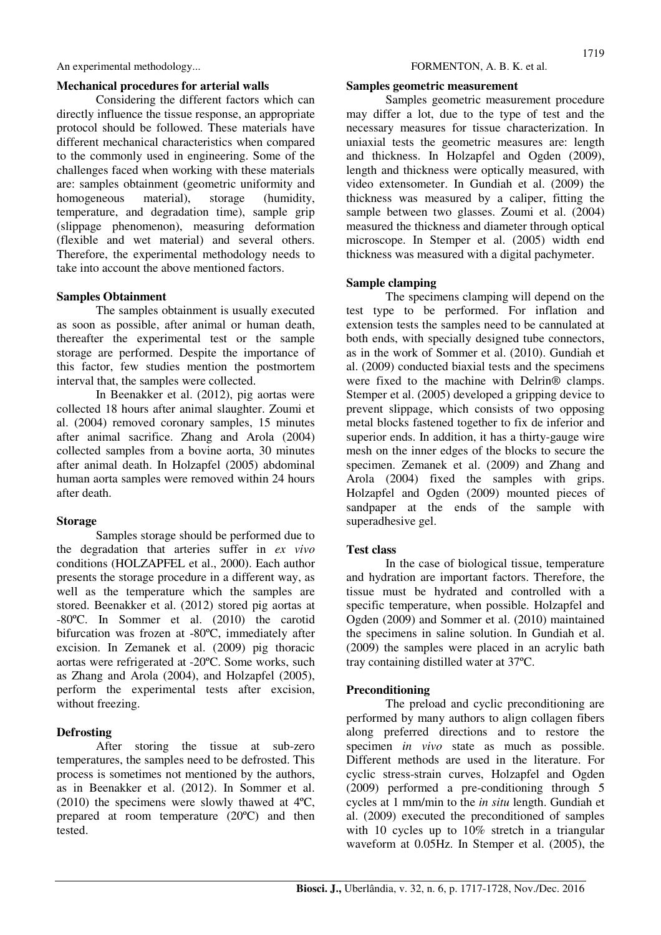### **Mechanical procedures for arterial walls**

Considering the different factors which can directly influence the tissue response, an appropriate protocol should be followed. These materials have different mechanical characteristics when compared to the commonly used in engineering. Some of the challenges faced when working with these materials are: samples obtainment (geometric uniformity and homogeneous material), storage (humidity, temperature, and degradation time), sample grip (slippage phenomenon), measuring deformation (flexible and wet material) and several others. Therefore, the experimental methodology needs to take into account the above mentioned factors.

## **Samples Obtainment**

The samples obtainment is usually executed as soon as possible, after animal or human death, thereafter the experimental test or the sample storage are performed. Despite the importance of this factor, few studies mention the postmortem interval that, the samples were collected.

In Beenakker et al. (2012), pig aortas were collected 18 hours after animal slaughter. Zoumi et al. (2004) removed coronary samples, 15 minutes after animal sacrifice. Zhang and Arola (2004) collected samples from a bovine aorta, 30 minutes after animal death. In Holzapfel (2005) abdominal human aorta samples were removed within 24 hours after death.

### **Storage**

Samples storage should be performed due to the degradation that arteries suffer in *ex vivo* conditions (HOLZAPFEL et al., 2000). Each author presents the storage procedure in a different way, as well as the temperature which the samples are stored. Beenakker et al. (2012) stored pig aortas at -80ºC. In Sommer et al. (2010) the carotid bifurcation was frozen at -80ºC, immediately after excision. In Zemanek et al. (2009) pig thoracic aortas were refrigerated at -20ºC. Some works, such as Zhang and Arola (2004), and Holzapfel (2005), perform the experimental tests after excision, without freezing.

## **Defrosting**

After storing the tissue at sub-zero temperatures, the samples need to be defrosted. This process is sometimes not mentioned by the authors, as in Beenakker et al. (2012). In Sommer et al. (2010) the specimens were slowly thawed at 4ºC, prepared at room temperature (20ºC) and then tested.

### **Samples geometric measurement**

Samples geometric measurement procedure may differ a lot, due to the type of test and the necessary measures for tissue characterization. In uniaxial tests the geometric measures are: length and thickness. In Holzapfel and Ogden (2009), length and thickness were optically measured, with video extensometer. In Gundiah et al. (2009) the thickness was measured by a caliper, fitting the sample between two glasses. Zoumi et al. (2004) measured the thickness and diameter through optical microscope. In Stemper et al. (2005) width end thickness was measured with a digital pachymeter.

## **Sample clamping**

The specimens clamping will depend on the test type to be performed. For inflation and extension tests the samples need to be cannulated at both ends, with specially designed tube connectors, as in the work of Sommer et al. (2010). Gundiah et al. (2009) conducted biaxial tests and the specimens were fixed to the machine with Delrin® clamps. Stemper et al. (2005) developed a gripping device to prevent slippage, which consists of two opposing metal blocks fastened together to fix de inferior and superior ends. In addition, it has a thirty-gauge wire mesh on the inner edges of the blocks to secure the specimen. Zemanek et al. (2009) and Zhang and Arola (2004) fixed the samples with grips. Holzapfel and Ogden (2009) mounted pieces of sandpaper at the ends of the sample with superadhesive gel.

## **Test class**

In the case of biological tissue, temperature and hydration are important factors. Therefore, the tissue must be hydrated and controlled with a specific temperature, when possible. Holzapfel and Ogden (2009) and Sommer et al. (2010) maintained the specimens in saline solution. In Gundiah et al. (2009) the samples were placed in an acrylic bath tray containing distilled water at 37ºC.

## **Preconditioning**

The preload and cyclic preconditioning are performed by many authors to align collagen fibers along preferred directions and to restore the specimen *in vivo* state as much as possible. Different methods are used in the literature. For cyclic stress-strain curves, Holzapfel and Ogden (2009) performed a pre-conditioning through 5 cycles at 1 mm/min to the *in situ* length. Gundiah et al. (2009) executed the preconditioned of samples with 10 cycles up to 10% stretch in a triangular waveform at 0.05Hz. In Stemper et al. (2005), the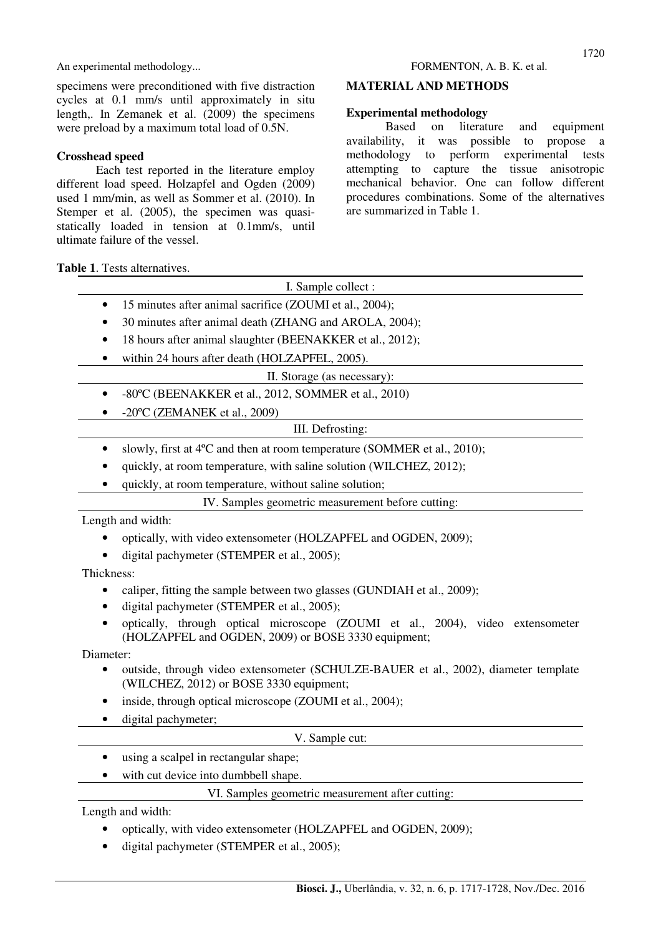specimens were preconditioned with five distraction cycles at 0.1 mm/s until approximately in situ length,. In Zemanek et al. (2009) the specimens were preload by a maximum total load of 0.5N.

# **Crosshead speed**

Each test reported in the literature employ different load speed. Holzapfel and Ogden (2009) used 1 mm/min, as well as Sommer et al. (2010). In Stemper et al. (2005), the specimen was quasistatically loaded in tension at 0.1mm/s, until ultimate failure of the vessel.

# **MATERIAL AND METHODS**

## **Experimental methodology**

Based on literature and equipment availability, it was possible to propose a methodology to perform experimental tests attempting to capture the tissue anisotropic mechanical behavior. One can follow different procedures combinations. Some of the alternatives are summarized in Table 1.

**Table 1**. Tests alternatives.

| I. Sample collect :         |                                                                                       |  |
|-----------------------------|---------------------------------------------------------------------------------------|--|
| $\bullet$                   | 15 minutes after animal sacrifice (ZOUMI et al., 2004);                               |  |
| $\bullet$                   | 30 minutes after animal death (ZHANG and AROLA, 2004);                                |  |
| $\bullet$                   | 18 hours after animal slaughter (BEENAKKER et al., 2012);                             |  |
| $\bullet$                   | within 24 hours after death (HOLZAPFEL, 2005).                                        |  |
| II. Storage (as necessary): |                                                                                       |  |
| $\bullet$                   | -80°C (BEENAKKER et al., 2012, SOMMER et al., 2010)                                   |  |
| $\bullet$                   | $-20^{\circ}$ C (ZEMANEK et al., 2009)                                                |  |
| III. Defrosting:            |                                                                                       |  |
| $\bullet$                   | slowly, first at 4 <sup>o</sup> C and then at room temperature (SOMMER et al., 2010); |  |
| $\bullet$                   | quickly, at room temperature, with saline solution (WILCHEZ, 2012);                   |  |
| $\bullet$                   | quickly, at room temperature, without saline solution;                                |  |
|                             | IV. Samples geometric measurement before cutting:                                     |  |

Length and width:

- optically, with video extensometer (HOLZAPFEL and OGDEN, 2009);
- digital pachymeter (STEMPER et al., 2005);

Thickness:

- caliper, fitting the sample between two glasses (GUNDIAH et al., 2009);
- digital pachymeter (STEMPER et al., 2005);
- optically, through optical microscope (ZOUMI et al., 2004), video extensometer (HOLZAPFEL and OGDEN, 2009) or BOSE 3330 equipment;

Diameter:

- outside, through video extensometer (SCHULZE-BAUER et al., 2002), diameter template (WILCHEZ, 2012) or BOSE 3330 equipment;
- inside, through optical microscope (ZOUMI et al., 2004);
- digital pachymeter;

# V. Sample cut:

- using a scalpel in rectangular shape;
- with cut device into dumbbell shape.

## VI. Samples geometric measurement after cutting:

Length and width:

- optically, with video extensometer (HOLZAPFEL and OGDEN, 2009);
- digital pachymeter (STEMPER et al., 2005);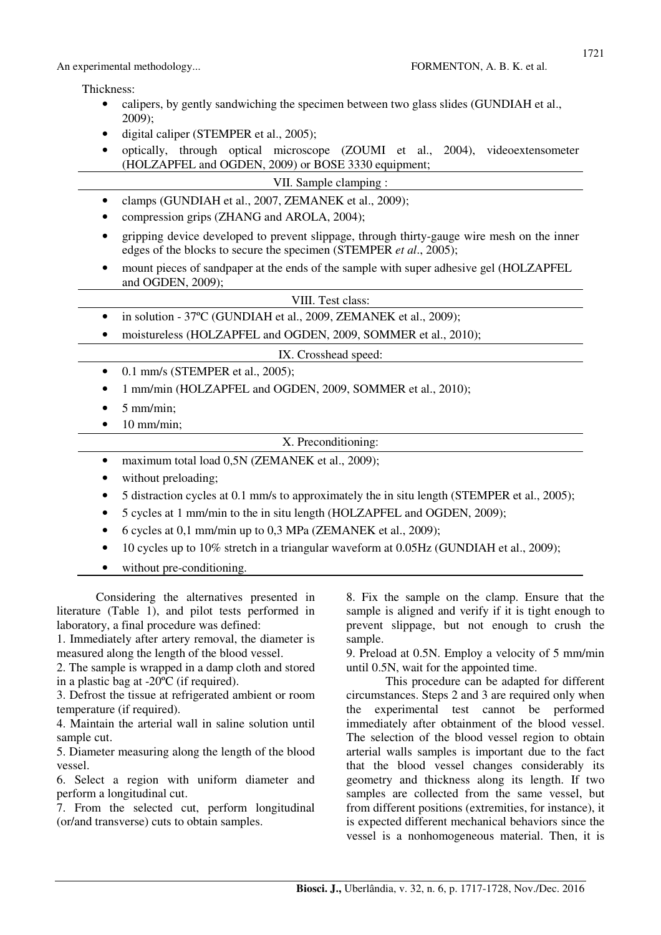Thickness:

- calipers, by gently sandwiching the specimen between two glass slides (GUNDIAH et al., 2009);
- digital caliper (STEMPER et al., 2005);
- optically, through optical microscope (ZOUMI et al., 2004), videoextensometer (HOLZAPFEL and OGDEN, 2009) or BOSE 3330 equipment;
	- VII. Sample clamping :
- clamps (GUNDIAH et al., 2007, ZEMANEK et al., 2009);
- compression grips (ZHANG and AROLA, 2004);
- gripping device developed to prevent slippage, through thirty-gauge wire mesh on the inner edges of the blocks to secure the specimen (STEMPER *et al*., 2005);
- mount pieces of sandpaper at the ends of the sample with super adhesive gel (HOLZAPFEL and OGDEN, 2009);

| VIII. Test class: |  |
|-------------------|--|
|-------------------|--|

- in solution 37°C (GUNDIAH et al., 2009, ZEMANEK et al., 2009);
- moistureless (HOLZAPFEL and OGDEN, 2009, SOMMER et al., 2010);

### IX. Crosshead speed:

- $\bullet$  0.1 mm/s (STEMPER et al., 2005);
- 1 mm/min (HOLZAPFEL and OGDEN, 2009, SOMMER et al., 2010);
- $\bullet$  5 mm/min:
- $\bullet$  10 mm/min;

X. Preconditioning:

- maximum total load 0,5N (ZEMANEK et al., 2009);
- without preloading;
- 5 distraction cycles at 0.1 mm/s to approximately the in situ length (STEMPER et al., 2005);
- 5 cycles at 1 mm/min to the in situ length (HOLZAPFEL and OGDEN, 2009);
- 6 cycles at 0,1 mm/min up to 0,3 MPa (ZEMANEK et al., 2009);
- 10 cycles up to 10% stretch in a triangular waveform at 0.05Hz (GUNDIAH et al., 2009);
- without pre-conditioning.

Considering the alternatives presented in literature (Table 1), and pilot tests performed in laboratory, a final procedure was defined:

1. Immediately after artery removal, the diameter is measured along the length of the blood vessel.

2. The sample is wrapped in a damp cloth and stored in a plastic bag at -20ºC (if required).

3. Defrost the tissue at refrigerated ambient or room temperature (if required).

4. Maintain the arterial wall in saline solution until sample cut.

5. Diameter measuring along the length of the blood vessel.

6. Select a region with uniform diameter and perform a longitudinal cut.

7. From the selected cut, perform longitudinal (or/and transverse) cuts to obtain samples.

8. Fix the sample on the clamp. Ensure that the sample is aligned and verify if it is tight enough to prevent slippage, but not enough to crush the sample.

9. Preload at 0.5N. Employ a velocity of 5 mm/min until 0.5N, wait for the appointed time.

This procedure can be adapted for different circumstances. Steps 2 and 3 are required only when the experimental test cannot be performed immediately after obtainment of the blood vessel. The selection of the blood vessel region to obtain arterial walls samples is important due to the fact that the blood vessel changes considerably its geometry and thickness along its length. If two samples are collected from the same vessel, but from different positions (extremities, for instance), it is expected different mechanical behaviors since the vessel is a nonhomogeneous material. Then, it is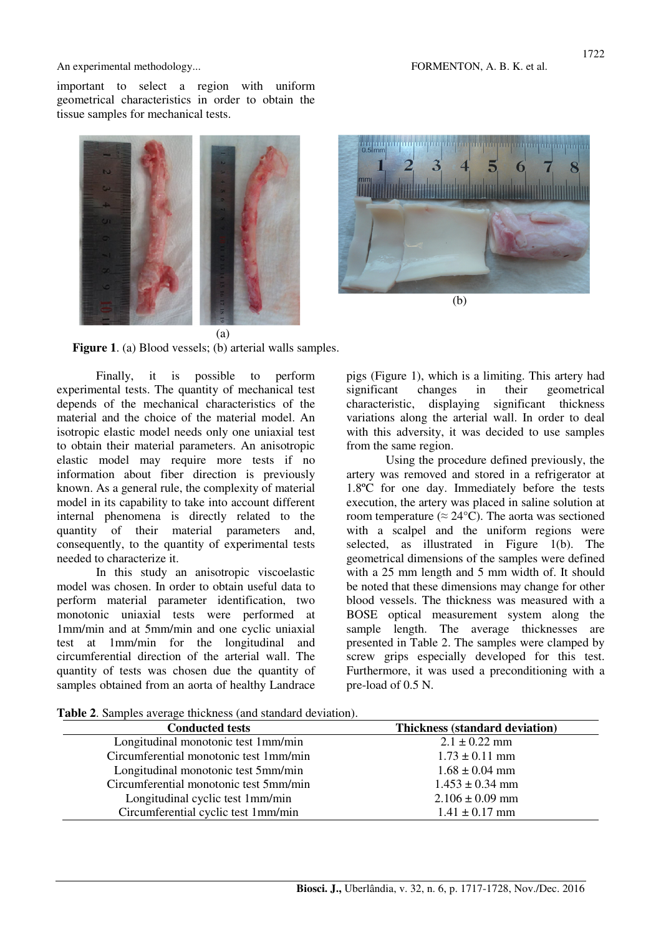important to select a region with uniform geometrical characteristics in order to obtain the tissue samples for mechanical tests.





**Figure 1**. (a) Blood vessels; (b) arterial walls samples.

Finally, it is possible to perform experimental tests. The quantity of mechanical test depends of the mechanical characteristics of the material and the choice of the material model. An isotropic elastic model needs only one uniaxial test to obtain their material parameters. An anisotropic elastic model may require more tests if no information about fiber direction is previously known. As a general rule, the complexity of material model in its capability to take into account different internal phenomena is directly related to the quantity of their material parameters and, consequently, to the quantity of experimental tests needed to characterize it.

In this study an anisotropic viscoelastic model was chosen. In order to obtain useful data to perform material parameter identification, two monotonic uniaxial tests were performed at 1mm/min and at 5mm/min and one cyclic uniaxial test at 1mm/min for the longitudinal and circumferential direction of the arterial wall. The quantity of tests was chosen due the quantity of samples obtained from an aorta of healthy Landrace

pigs (Figure 1), which is a limiting. This artery had significant changes in their geometrical characteristic, displaying significant thickness variations along the arterial wall. In order to deal with this adversity, it was decided to use samples from the same region.

Using the procedure defined previously, the artery was removed and stored in a refrigerator at 1.8ºC for one day. Immediately before the tests execution, the artery was placed in saline solution at room temperature ( $\approx 24^{\circ}$ C). The aorta was sectioned with a scalpel and the uniform regions were selected, as illustrated in Figure 1(b). The geometrical dimensions of the samples were defined with a 25 mm length and 5 mm width of. It should be noted that these dimensions may change for other blood vessels. The thickness was measured with a BOSE optical measurement system along the sample length. The average thicknesses are presented in Table 2. The samples were clamped by screw grips especially developed for this test. Furthermore, it was used a preconditioning with a pre-load of 0.5 N.

**Table 2**. Samples average thickness (and standard deviation).

| <b>Conducted tests</b>                 | <b>Thickness (standard deviation)</b> |
|----------------------------------------|---------------------------------------|
| Longitudinal monotonic test 1mm/min    | $2.1 \pm 0.22$ mm                     |
| Circumferential monotonic test 1mm/min | $1.73 \pm 0.11$ mm                    |
| Longitudinal monotonic test 5mm/min    | $1.68 \pm 0.04$ mm                    |
| Circumferential monotonic test 5mm/min | $1.453 \pm 0.34$ mm                   |
| Longitudinal cyclic test 1mm/min       | $2.106 \pm 0.09$ mm                   |
| Circumferential cyclic test 1mm/min    | $1.41 \pm 0.17$ mm                    |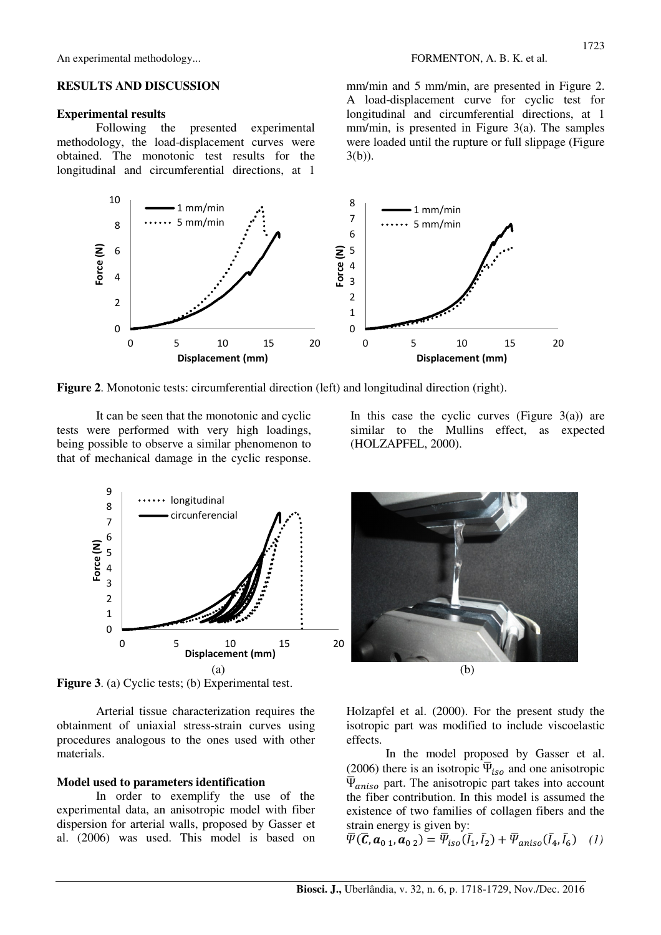### **RESULTS AND DISCUSSION**

### **Experimental results**

Following the presented experimental methodology, the load-displacement curves were obtained. The monotonic test results for the longitudinal and circumferential directions, at 1

mm/min and 5 mm/min, are presented in Figure 2. A load-displacement curve for cyclic test for longitudinal and circumferential directions, at 1 mm/min, is presented in Figure 3(a). The samples were loaded until the rupture or full slippage (Figure 3(b)).



**Figure 2**. Monotonic tests: circumferential direction (left) and longitudinal direction (right).

It can be seen that the monotonic and cyclic tests were performed with very high loadings, being possible to observe a similar phenomenon to that of mechanical damage in the cyclic response.



**Figure 3**. (a) Cyclic tests; (b) Experimental test.

Arterial tissue characterization requires the obtainment of uniaxial stress-strain curves using procedures analogous to the ones used with other materials.

### **Model used to parameters identification**

In order to exemplify the use of the experimental data, an anisotropic model with fiber dispersion for arterial walls, proposed by Gasser et al. (2006) was used. This model is based on In this case the cyclic curves (Figure  $3(a)$ ) are similar to the Mullins effect, as expected (HOLZAPFEL, 2000).



Holzapfel et al. (2000). For the present study the isotropic part was modified to include viscoelastic effects.

In the model proposed by Gasser et al. (2006) there is an isotropic  $\overline{\Psi}_{iso}$  and one anisotropic  $\overline{\Psi}_{aniso}$  part. The anisotropic part takes into account the fiber contribution. In this model is assumed the existence of two families of collagen fibers and the strain energy is given by:

$$
\overline{\Psi}(\overline{C}, \mathbf{a}_{0\ 1}, \mathbf{a}_{0\ 2}) = \overline{\Psi}_{iso}(\overline{I}_1, \overline{I}_2) + \overline{\Psi}_{aniso}(\overline{I}_4, \overline{I}_6) \quad (1)
$$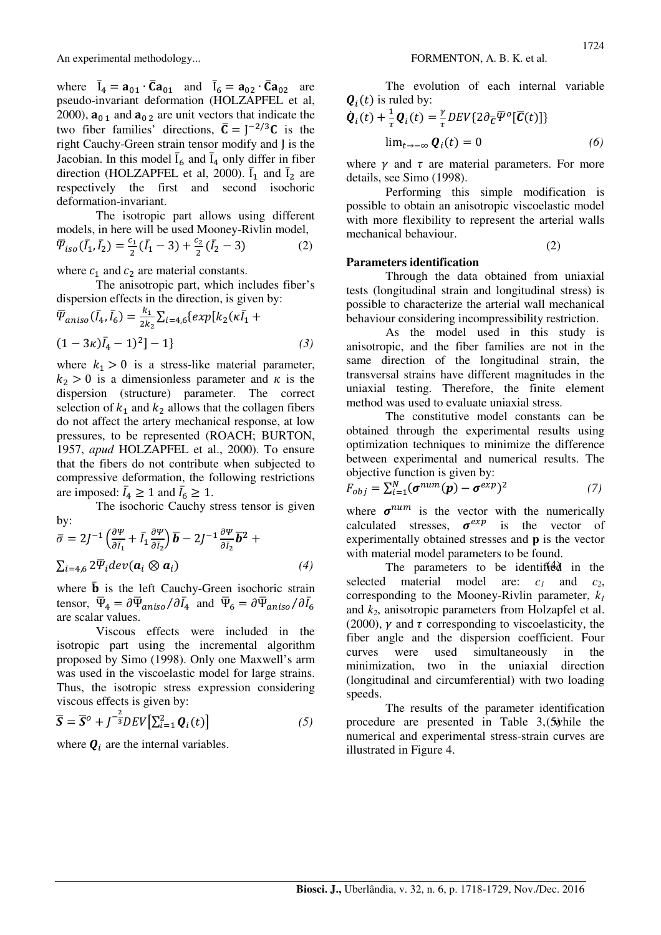where  $\overline{I}_4 = \mathbf{a}_{01} \cdot \overline{\mathbf{C}} \mathbf{a}_{01}$  and  $\overline{I}_6 = \mathbf{a}_{02} \cdot \overline{\mathbf{C}} \mathbf{a}_{02}$  are pseudo-invariant deformation (HOLZAPFEL et al, 2000),  $\mathbf{a}_{0,1}$  and  $\mathbf{a}_{0,2}$  are unit vectors that indicate the two fiber families' directions,  $\overline{C} = J^{-2/3}C$  is the right Cauchy-Green strain tensor modify and J is the Jacobian. In this model  $\overline{I}_6$  and  $\overline{I}_4$  only differ in fiber direction (HOLZAPFEL et al, 2000).  $\bar{I}_1$  and  $\bar{I}_2$  are respectively the first and second isochoric deformation-invariant.

The isotropic part allows using different models, in here will be used Mooney-Rivlin model,  $\overline{\Psi}_{iso}(\overline{I}_1, \overline{I}_2) = \frac{c_1}{2}$  $\frac{c_1}{2}(\bar{I}_1-3)+\frac{c_2}{2}$  $\frac{Z_2}{2}(\bar{I}_2)$  $(z)$  (2) (2)

where  $c_1$  and  $c_2$  are material constants.

The anisotropic part, which includes fiber's dispersion effects in the direction, is given by:

$$
\overline{\Psi}_{aniso}(\overline{I}_4, \overline{I}_6) = \frac{k_1}{2k_2} \sum_{i=4,6} \{exp[k_2(\kappa \overline{I}_1 + (1 - 3\kappa)\overline{I}_4 - 1)^2] - 1\}
$$
\n(3)

where  $k_1 > 0$  is a stress-like material parameter,  $k_2 > 0$  is a dimensionless parameter and  $\kappa$  is the dispersion (structure) parameter. The correct selection of  $k_1$  and  $k_2$  allows that the collagen fibers do not affect the artery mechanical response, at low pressures, to be represented (ROACH; BURTON, 1957, *apud* HOLZAPFEL et al., 2000). To ensure that the fibers do not contribute when subjected to compressive deformation, the following restrictions are imposed:  $\bar{I}_4 \geq 1$  and  $\bar{I}_6 \geq 1$ .

The isochoric Cauchy stress tensor is given by:

$$
\bar{\sigma} = 2J^{-1} \left( \frac{\partial \Psi}{\partial \bar{I}_1} + \bar{I}_1 \frac{\partial \Psi}{\partial \bar{I}_2} \right) \bar{b} - 2J^{-1} \frac{\partial \Psi}{\partial \bar{I}_2} \bar{b}^2 +
$$
  

$$
\Sigma_{i=4,6} 2 \bar{\Psi}_i dev(\boldsymbol{a}_i \otimes \boldsymbol{a}_i)
$$
(4)

where  $\bar{\mathbf{b}}$  is the left Cauchy-Green isochoric strain tensor,  $\overline{\Psi}_4 = \partial \overline{\Psi}_{aniso} / \partial \overline{I}_4$  and  $\overline{\Psi}_6 = \partial \overline{\Psi}_{aniso} / \partial \overline{I}_6$ are scalar values.

Viscous effects were included in the isotropic part using the incremental algorithm proposed by Simo (1998). Only one Maxwell's arm was used in the viscoelastic model for large strains. Thus, the isotropic stress expression considering viscous effects is given by:

$$
\overline{\mathbf{S}} = \overline{\mathbf{S}}^o + J^{-\frac{2}{3}} DEV \big[ \Sigma_{i=1}^2 \, \mathbf{Q}_i(t) \big] \tag{5}
$$

where  $\mathbf{Q}_i$  are the internal variables.

The evolution of each internal variable  $\mathbf{Q}_i(t)$  is ruled by:

$$
\dot{\boldsymbol{Q}}_i(t) + \frac{1}{\tau} \boldsymbol{Q}_i(t) = \frac{\gamma}{\tau} DEV\{2\partial_{\overline{C}} \overline{\Psi}^o[\overline{C}(t)]\}
$$
  

$$
\lim_{t \to -\infty} \boldsymbol{Q}_i(t) = 0
$$
 (6)

where  $\gamma$  and  $\tau$  are material parameters. For more details, see Simo (1998).

Performing this simple modification is possible to obtain an anisotropic viscoelastic model with more flexibility to represent the arterial walls mechanical behaviour.

### **Parameters identification**

Through the data obtained from uniaxial tests (longitudinal strain and longitudinal stress) is possible to characterize the arterial wall mechanical behaviour considering incompressibility restriction.

As the model used in this study is anisotropic, and the fiber families are not in the same direction of the longitudinal strain, the transversal strains have different magnitudes in the uniaxial testing. Therefore, the finite element method was used to evaluate uniaxial stress.

The constitutive model constants can be obtained through the experimental results using optimization techniques to minimize the difference between experimental and numerical results. The objective function is given by:

$$
F_{obj} = \sum_{i=1}^{N} (\boldsymbol{\sigma}^{num}(\boldsymbol{p}) - \boldsymbol{\sigma}^{exp})^2
$$
 (7)

where  $\sigma^{num}$  is the vector with the numerically calculated stresses,  $\sigma^{exp}$ is the vector of experimentally obtained stresses and **p** is the vector with material model parameters to be found.

 $i=4.6 \frac{2 \overline{\Psi}_i dev(\mathbf{a}_i \otimes \mathbf{a}_i)}{i=4.6 \frac{2 \overline{\Psi}_i dev(\mathbf{a}_i \otimes \mathbf{a}_i)}{i=4.6 \frac{2 \overline{\Psi}_i dev(\mathbf{a}_i \otimes \mathbf{a}_i)}{i=4.6 \frac{2 \overline{\Psi}_i dev(\mathbf{a}_i \otimes \mathbf{a}_i)}{i=4.6 \frac{2 \overline{\Psi}_i dev(\mathbf{a}_i \otimes \mathbf{a}_i)}{i=4.6 \frac{2 \overline{\Psi}_i dev(\mathbf{a}_i \otimes \mathbf{a}_i)}{i=4.$ selected material model are:  $c_1$  and  $c_2$ , corresponding to the Mooney-Rivlin parameter, *k<sup>1</sup>* and *k2*, anisotropic parameters from Holzapfel et al. (2000),  $\gamma$  and  $\tau$  corresponding to viscoelasticity, the fiber angle and the dispersion coefficient. Four curves were used simultaneously in the minimization, two in the uniaxial direction (longitudinal and circumferential) with two loading speeds.

> $\mathbf{Q}_i^2 = \mathbf{Q}_i(t)$  (5) procedure are presented in Table 3, (5) while the The results of the parameter identification numerical and experimental stress-strain curves are illustrated in Figure 4.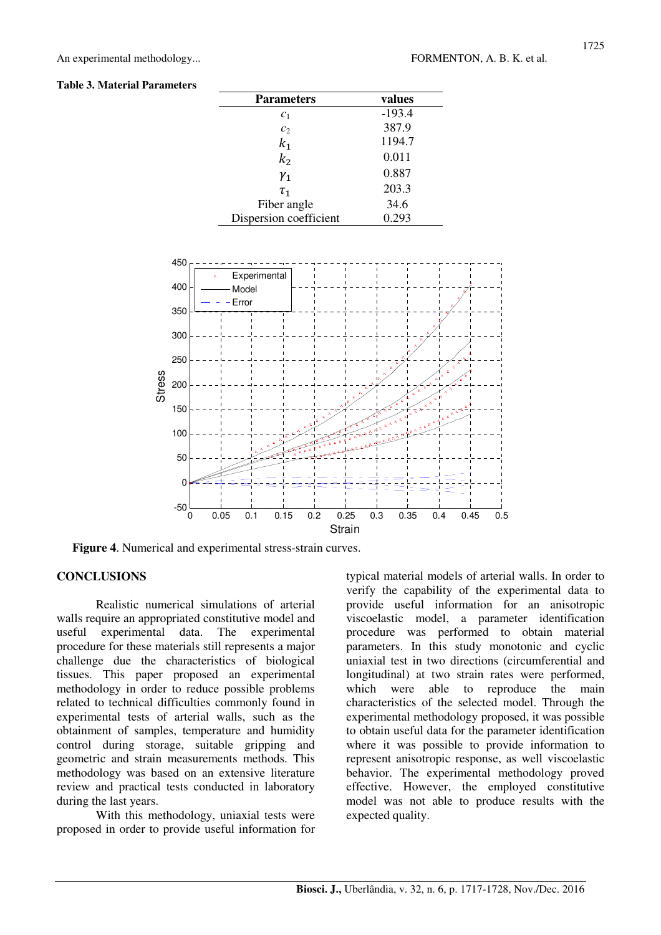### **Table 3. Material Parameters**

| <b>Parameters</b>      | values   |
|------------------------|----------|
| c <sub>1</sub>         | $-193.4$ |
| c <sub>2</sub>         | 387.9    |
| $k_{1}$                | 1194.7   |
| k <sub>2</sub>         | 0.011    |
| $\gamma_1$             | 0.887    |
| $\tau_{1}$             | 203.3    |
| Fiber angle            | 34.6     |
| Dispersion coefficient | 0.293    |



**Figure 4**. Numerical and experimental stress-strain curves.

# **CONCLUSIONS**

Realistic numerical simulations of arterial walls require an appropriated constitutive model and useful experimental data. The experimental procedure for these materials still represents a major challenge due the characteristics of biological tissues. This paper proposed an experimental methodology in order to reduce possible problems related to technical difficulties commonly found in experimental tests of arterial walls, such as the obtainment of samples, temperature and humidity control during storage, suitable gripping and geometric and strain measurements methods. This methodology was based on an extensive literature review and practical tests conducted in laboratory during the last years.

With this methodology, uniaxial tests were proposed in order to provide useful information for typical material models of arterial walls. In order to verify the capability of the experimental data to provide useful information for an anisotropic viscoelastic model, a parameter identification procedure was performed to obtain material parameters. In this study monotonic and cyclic uniaxial test in two directions (circumferential and longitudinal) at two strain rates were performed, which were able to reproduce the main characteristics of the selected model. Through the experimental methodology proposed, it was possible to obtain useful data for the parameter identification where it was possible to provide information to represent anisotropic response, as well viscoelastic behavior. The experimental methodology proved effective. However, the employed constitutive model was not able to produce results with the expected quality.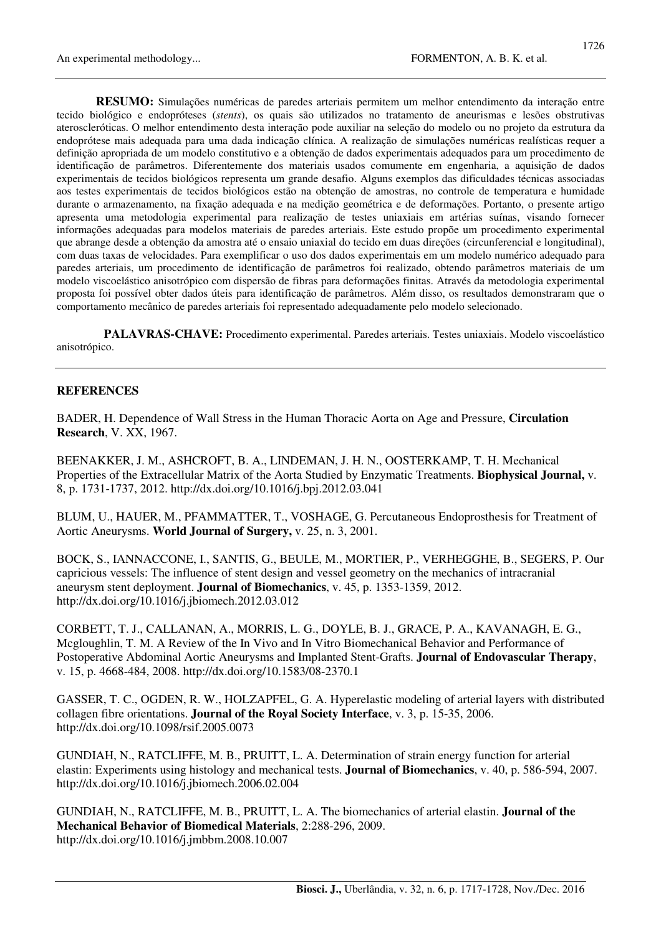**RESUMO:** Simulações numéricas de paredes arteriais permitem um melhor entendimento da interação entre tecido biológico e endopróteses (*stents*), os quais são utilizados no tratamento de aneurismas e lesões obstrutivas ateroscleróticas. O melhor entendimento desta interação pode auxiliar na seleção do modelo ou no projeto da estrutura da endoprótese mais adequada para uma dada indicação clínica. A realização de simulações numéricas realísticas requer a definição apropriada de um modelo constitutivo e a obtenção de dados experimentais adequados para um procedimento de identificação de parâmetros. Diferentemente dos materiais usados comumente em engenharia, a aquisição de dados experimentais de tecidos biológicos representa um grande desafio. Alguns exemplos das dificuldades técnicas associadas aos testes experimentais de tecidos biológicos estão na obtenção de amostras, no controle de temperatura e humidade durante o armazenamento, na fixação adequada e na medição geométrica e de deformações. Portanto, o presente artigo apresenta uma metodologia experimental para realização de testes uniaxiais em artérias suínas, visando fornecer informações adequadas para modelos materiais de paredes arteriais. Este estudo propõe um procedimento experimental que abrange desde a obtenção da amostra até o ensaio uniaxial do tecido em duas direções (circunferencial e longitudinal), com duas taxas de velocidades. Para exemplificar o uso dos dados experimentais em um modelo numérico adequado para paredes arteriais, um procedimento de identificação de parâmetros foi realizado, obtendo parâmetros materiais de um modelo viscoelástico anisotrópico com dispersão de fibras para deformações finitas. Através da metodologia experimental proposta foi possível obter dados úteis para identificação de parâmetros. Além disso, os resultados demonstraram que o comportamento mecânico de paredes arteriais foi representado adequadamente pelo modelo selecionado.

**PALAVRAS-CHAVE:** Procedimento experimental. Paredes arteriais. Testes uniaxiais. Modelo viscoelástico anisotrópico.

## **REFERENCES**

BADER, H. Dependence of Wall Stress in the Human Thoracic Aorta on Age and Pressure, **Circulation Research**, V. XX, 1967.

BEENAKKER, J. M., ASHCROFT, B. A., LINDEMAN, J. H. N., OOSTERKAMP, T. H. Mechanical Properties of the Extracellular Matrix of the Aorta Studied by Enzymatic Treatments. **Biophysical Journal,** v. 8, p. 1731-1737, 2012. http://dx.doi.org/10.1016/j.bpj.2012.03.041

BLUM, U., HAUER, M., PFAMMATTER, T., VOSHAGE, G. Percutaneous Endoprosthesis for Treatment of Aortic Aneurysms. **World Journal of Surgery,** v. 25, n. 3, 2001.

BOCK, S., IANNACCONE, I., SANTIS, G., BEULE, M., MORTIER, P., VERHEGGHE, B., SEGERS, P. Our capricious vessels: The influence of stent design and vessel geometry on the mechanics of intracranial aneurysm stent deployment. **Journal of Biomechanics**, v. 45, p. 1353-1359, 2012. http://dx.doi.org/10.1016/j.jbiomech.2012.03.012

CORBETT, T. J., CALLANAN, A., MORRIS, L. G., DOYLE, B. J., GRACE, P. A., KAVANAGH, E. G., Mcgloughlin, T. M. A Review of the In Vivo and In Vitro Biomechanical Behavior and Performance of Postoperative Abdominal Aortic Aneurysms and Implanted Stent-Grafts. **Journal of Endovascular Therapy**, v. 15, p. 4668-484, 2008. http://dx.doi.org/10.1583/08-2370.1

GASSER, T. C., OGDEN, R. W., HOLZAPFEL, G. A. Hyperelastic modeling of arterial layers with distributed collagen fibre orientations. **Journal of the Royal Society Interface**, v. 3, p. 15-35, 2006. http://dx.doi.org/10.1098/rsif.2005.0073

GUNDIAH, N., RATCLIFFE, M. B., PRUITT, L. A. Determination of strain energy function for arterial elastin: Experiments using histology and mechanical tests. **Journal of Biomechanics**, v. 40, p. 586-594, 2007. http://dx.doi.org/10.1016/j.jbiomech.2006.02.004

GUNDIAH, N., RATCLIFFE, M. B., PRUITT, L. A. The biomechanics of arterial elastin. **Journal of the Mechanical Behavior of Biomedical Materials**, 2:288-296, 2009. http://dx.doi.org/10.1016/j.jmbbm.2008.10.007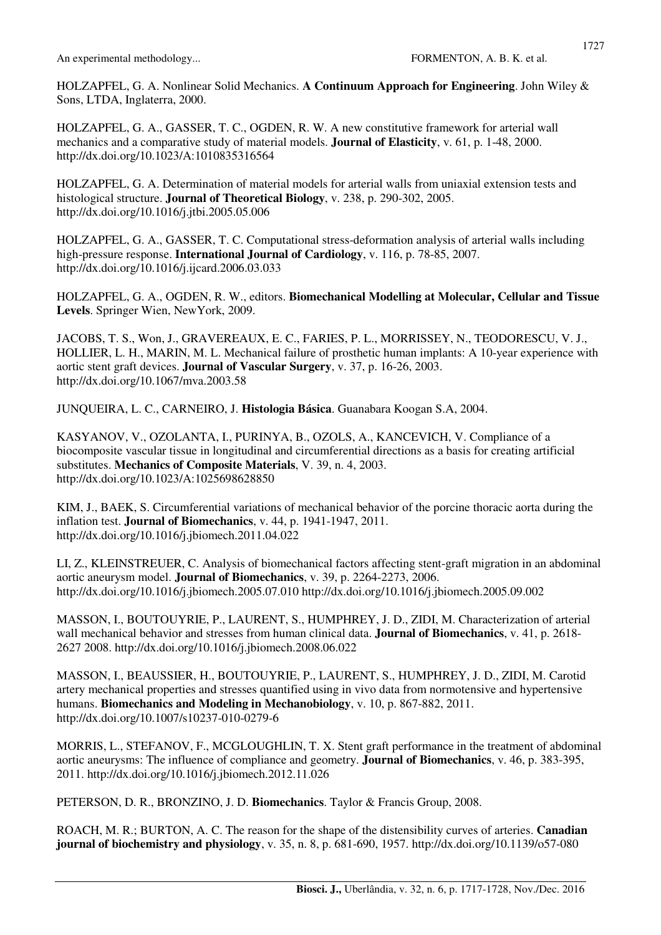HOLZAPFEL, G. A. Nonlinear Solid Mechanics. **A Continuum Approach for Engineering**. John Wiley & Sons, LTDA, Inglaterra, 2000.

HOLZAPFEL, G. A., GASSER, T. C., OGDEN, R. W. A new constitutive framework for arterial wall mechanics and a comparative study of material models. **Journal of Elasticity**, v. 61, p. 1-48, 2000. http://dx.doi.org/10.1023/A:1010835316564

HOLZAPFEL, G. A. Determination of material models for arterial walls from uniaxial extension tests and histological structure. **Journal of Theoretical Biology**, v. 238, p. 290-302, 2005. http://dx.doi.org/10.1016/j.jtbi.2005.05.006

HOLZAPFEL, G. A., GASSER, T. C. Computational stress-deformation analysis of arterial walls including high-pressure response. **International Journal of Cardiology**, v. 116, p. 78-85, 2007. http://dx.doi.org/10.1016/j.ijcard.2006.03.033

HOLZAPFEL, G. A., OGDEN, R. W., editors. **Biomechanical Modelling at Molecular, Cellular and Tissue Levels**. Springer Wien, NewYork, 2009.

JACOBS, T. S., Won, J., GRAVEREAUX, E. C., FARIES, P. L., MORRISSEY, N., TEODORESCU, V. J., HOLLIER, L. H., MARIN, M. L. Mechanical failure of prosthetic human implants: A 10-year experience with aortic stent graft devices. **Journal of Vascular Surgery**, v. 37, p. 16-26, 2003. http://dx.doi.org/10.1067/mva.2003.58

JUNQUEIRA, L. C., CARNEIRO, J. **Histologia Básica**. Guanabara Koogan S.A, 2004.

KASYANOV, V., OZOLANTA, I., PURINYA, B., OZOLS, A., KANCEVICH, V. Compliance of a biocomposite vascular tissue in longitudinal and circumferential directions as a basis for creating artificial substitutes. **Mechanics of Composite Materials**, V. 39, n. 4, 2003. http://dx.doi.org/10.1023/A:1025698628850

KIM, J., BAEK, S. Circumferential variations of mechanical behavior of the porcine thoracic aorta during the inflation test. **Journal of Biomechanics**, v. 44, p. 1941-1947, 2011. http://dx.doi.org/10.1016/j.jbiomech.2011.04.022

LI, Z., KLEINSTREUER, C. Analysis of biomechanical factors affecting stent-graft migration in an abdominal aortic aneurysm model. **Journal of Biomechanics**, v. 39, p. 2264-2273, 2006. http://dx.doi.org/10.1016/j.jbiomech.2005.07.010 http://dx.doi.org/10.1016/j.jbiomech.2005.09.002

MASSON, I., BOUTOUYRIE, P., LAURENT, S., HUMPHREY, J. D., ZIDI, M. Characterization of arterial wall mechanical behavior and stresses from human clinical data. **Journal of Biomechanics**, v. 41, p. 2618- 2627 2008. http://dx.doi.org/10.1016/j.jbiomech.2008.06.022

MASSON, I., BEAUSSIER, H., BOUTOUYRIE, P., LAURENT, S., HUMPHREY, J. D., ZIDI, M. Carotid artery mechanical properties and stresses quantified using in vivo data from normotensive and hypertensive humans. **Biomechanics and Modeling in Mechanobiology**, v. 10, p. 867-882, 2011. http://dx.doi.org/10.1007/s10237-010-0279-6

MORRIS, L., STEFANOV, F., MCGLOUGHLIN, T. X. Stent graft performance in the treatment of abdominal aortic aneurysms: The influence of compliance and geometry. **Journal of Biomechanics**, v. 46, p. 383-395, 2011. http://dx.doi.org/10.1016/j.jbiomech.2012.11.026

PETERSON, D. R., BRONZINO, J. D. **Biomechanics**. Taylor & Francis Group, 2008.

ROACH, M. R.; BURTON, A. C. The reason for the shape of the distensibility curves of arteries. **Canadian journal of biochemistry and physiology**, v. 35, n. 8, p. 681-690, 1957. http://dx.doi.org/10.1139/o57-080